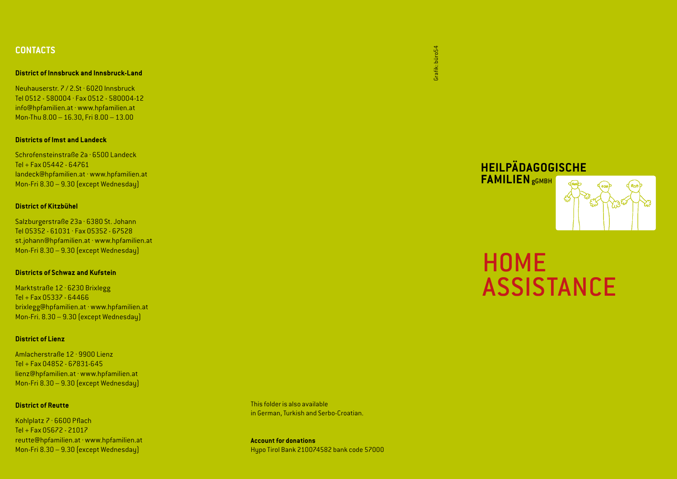## **CONTACTS**

#### **District of Innsbruck and Innsbruck-Land**

Neuhauserstr. 7 / 2.St · 6020 Innsbruck Tel 0512 - 580004 · Fax 0512 - 580004-12 info@hpfamilien.at · www.hpfamilien.at Mon-Thu 8.00 – 16.30, Fri 8.00 – 13.00

#### **Districts of Imst and Landeck**

Schrofensteinstraße 2a · 6500 Landeck Tel + Fax 05442 - 64761 landeck@hpfamilien.at · www.hpfamilien.at Mon-Fri 8.30 – 9.30 (except Wednesday)

#### **District of Kitzbühel**

Salzburgerstraße 23a · 6380 St. Johann Tel 05352 - 61031 · Fax 05352 - 67528 st.johann@hpfamilien.at · www.hpfamilien.at Mon-Fri 8.30 – 9.30 (except Wednesday)

### **Districts of Schwaz and Kufstein**

Marktstraße 12 · 6230 Brixlegg Tel + Fax 05337 - 64466 brixlegg@hpfamilien.at · www.hpfamilien.at Mon-Fri. 8.30 – 9.30 (except Wednesday)

## **District of Lienz**

Amlacherstraße 12 · 9900 Lienz Tel + Fax 04852 - 67831-645 lienz@hpfamilien.at · www.hpfamilien.at Mon-Fri 8.30 – 9.30 (except Wednesday)

#### **District of Reutte**

Kohlplatz 7 · 6600 Pflach Tel + Fax 05672 - 21017 reutte@hpfamilien.at · www.hpfamilien.at Mon-Fri 8.30 – 9.30 (except Wednesday)

This folder is also available in German, Turkish and Serbo-Croatian.

**Account for donations** Hypo Tirol Bank 210074582 bank code 57000 Grafik: büro54 Grafik: büro54

> **HEILPÄDAGOGISCHE FAMILIEN**gGMBH

# HOME ASSISTANCE